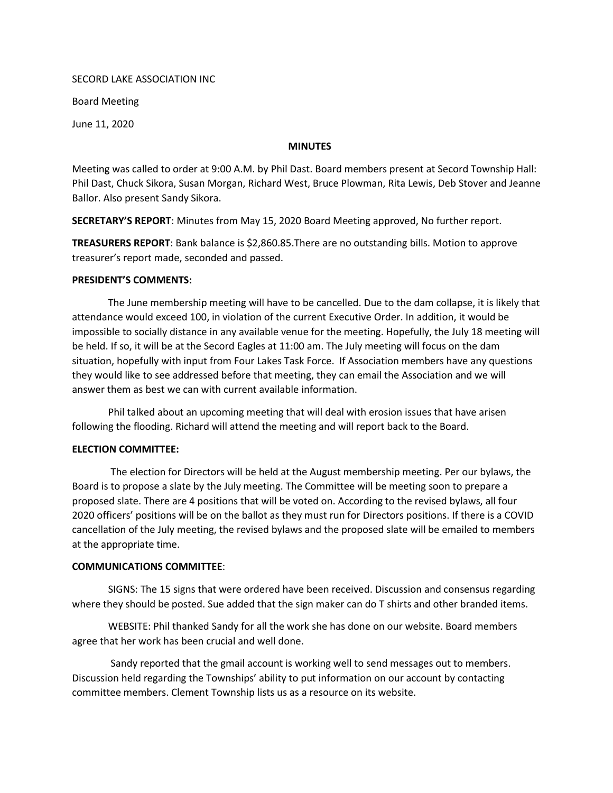#### SECORD LAKE ASSOCIATION INC

Board Meeting

June 11, 2020

#### **MINUTES**

Meeting was called to order at 9:00 A.M. by Phil Dast. Board members present at Secord Township Hall: Phil Dast, Chuck Sikora, Susan Morgan, Richard West, Bruce Plowman, Rita Lewis, Deb Stover and Jeanne Ballor. Also present Sandy Sikora.

SECRETARY'S REPORT: Minutes from May 15, 2020 Board Meeting approved, No further report.

TREASURERS REPORT: Bank balance is \$2,860.85.There are no outstanding bills. Motion to approve treasurer's report made, seconded and passed.

### PRESIDENT'S COMMENTS:

The June membership meeting will have to be cancelled. Due to the dam collapse, it is likely that attendance would exceed 100, in violation of the current Executive Order. In addition, it would be impossible to socially distance in any available venue for the meeting. Hopefully, the July 18 meeting will be held. If so, it will be at the Secord Eagles at 11:00 am. The July meeting will focus on the dam situation, hopefully with input from Four Lakes Task Force. If Association members have any questions they would like to see addressed before that meeting, they can email the Association and we will answer them as best we can with current available information.

Phil talked about an upcoming meeting that will deal with erosion issues that have arisen following the flooding. Richard will attend the meeting and will report back to the Board.

## ELECTION COMMITTEE:

The election for Directors will be held at the August membership meeting. Per our bylaws, the Board is to propose a slate by the July meeting. The Committee will be meeting soon to prepare a proposed slate. There are 4 positions that will be voted on. According to the revised bylaws, all four 2020 officers' positions will be on the ballot as they must run for Directors positions. If there is a COVID cancellation of the July meeting, the revised bylaws and the proposed slate will be emailed to members at the appropriate time.

## COMMUNICATIONS COMMITTEE:

SIGNS: The 15 signs that were ordered have been received. Discussion and consensus regarding where they should be posted. Sue added that the sign maker can do T shirts and other branded items.

WEBSITE: Phil thanked Sandy for all the work she has done on our website. Board members agree that her work has been crucial and well done.

Sandy reported that the gmail account is working well to send messages out to members. Discussion held regarding the Townships' ability to put information on our account by contacting committee members. Clement Township lists us as a resource on its website.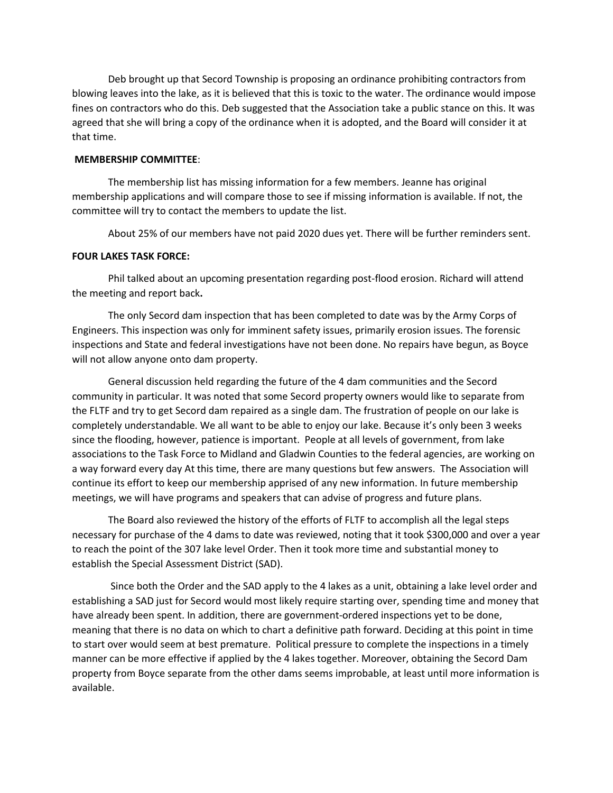Deb brought up that Secord Township is proposing an ordinance prohibiting contractors from blowing leaves into the lake, as it is believed that this is toxic to the water. The ordinance would impose fines on contractors who do this. Deb suggested that the Association take a public stance on this. It was agreed that she will bring a copy of the ordinance when it is adopted, and the Board will consider it at that time.

# MEMBERSHIP COMMITTEE:

The membership list has missing information for a few members. Jeanne has original membership applications and will compare those to see if missing information is available. If not, the committee will try to contact the members to update the list.

About 25% of our members have not paid 2020 dues yet. There will be further reminders sent.

#### FOUR LAKES TASK FORCE:

Phil talked about an upcoming presentation regarding post-flood erosion. Richard will attend the meeting and report back.

The only Secord dam inspection that has been completed to date was by the Army Corps of Engineers. This inspection was only for imminent safety issues, primarily erosion issues. The forensic inspections and State and federal investigations have not been done. No repairs have begun, as Boyce will not allow anyone onto dam property.

General discussion held regarding the future of the 4 dam communities and the Secord community in particular. It was noted that some Secord property owners would like to separate from the FLTF and try to get Secord dam repaired as a single dam. The frustration of people on our lake is completely understandable. We all want to be able to enjoy our lake. Because it's only been 3 weeks since the flooding, however, patience is important. People at all levels of government, from lake associations to the Task Force to Midland and Gladwin Counties to the federal agencies, are working on a way forward every day At this time, there are many questions but few answers. The Association will continue its effort to keep our membership apprised of any new information. In future membership meetings, we will have programs and speakers that can advise of progress and future plans.

The Board also reviewed the history of the efforts of FLTF to accomplish all the legal steps necessary for purchase of the 4 dams to date was reviewed, noting that it took \$300,000 and over a year to reach the point of the 307 lake level Order. Then it took more time and substantial money to establish the Special Assessment District (SAD).

Since both the Order and the SAD apply to the 4 lakes as a unit, obtaining a lake level order and establishing a SAD just for Secord would most likely require starting over, spending time and money that have already been spent. In addition, there are government-ordered inspections yet to be done, meaning that there is no data on which to chart a definitive path forward. Deciding at this point in time to start over would seem at best premature. Political pressure to complete the inspections in a timely manner can be more effective if applied by the 4 lakes together. Moreover, obtaining the Secord Dam property from Boyce separate from the other dams seems improbable, at least until more information is available.